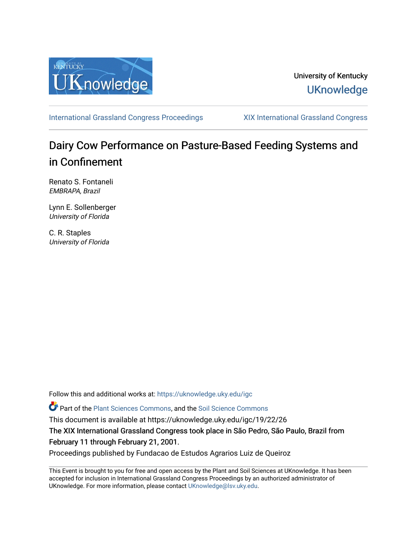

### University of Kentucky **UKnowledge**

[International Grassland Congress Proceedings](https://uknowledge.uky.edu/igc) [XIX International Grassland Congress](https://uknowledge.uky.edu/igc/19) 

# Dairy Cow Performance on Pasture-Based Feeding Systems and in Confinement

Renato S. Fontaneli EMBRAPA, Brazil

Lynn E. Sollenberger University of Florida

C. R. Staples University of Florida

Follow this and additional works at: [https://uknowledge.uky.edu/igc](https://uknowledge.uky.edu/igc?utm_source=uknowledge.uky.edu%2Figc%2F19%2F22%2F26&utm_medium=PDF&utm_campaign=PDFCoverPages) 

Part of the [Plant Sciences Commons](http://network.bepress.com/hgg/discipline/102?utm_source=uknowledge.uky.edu%2Figc%2F19%2F22%2F26&utm_medium=PDF&utm_campaign=PDFCoverPages), and the [Soil Science Commons](http://network.bepress.com/hgg/discipline/163?utm_source=uknowledge.uky.edu%2Figc%2F19%2F22%2F26&utm_medium=PDF&utm_campaign=PDFCoverPages) 

This document is available at https://uknowledge.uky.edu/igc/19/22/26

The XIX International Grassland Congress took place in São Pedro, São Paulo, Brazil from February 11 through February 21, 2001.

Proceedings published by Fundacao de Estudos Agrarios Luiz de Queiroz

This Event is brought to you for free and open access by the Plant and Soil Sciences at UKnowledge. It has been accepted for inclusion in International Grassland Congress Proceedings by an authorized administrator of UKnowledge. For more information, please contact [UKnowledge@lsv.uky.edu](mailto:UKnowledge@lsv.uky.edu).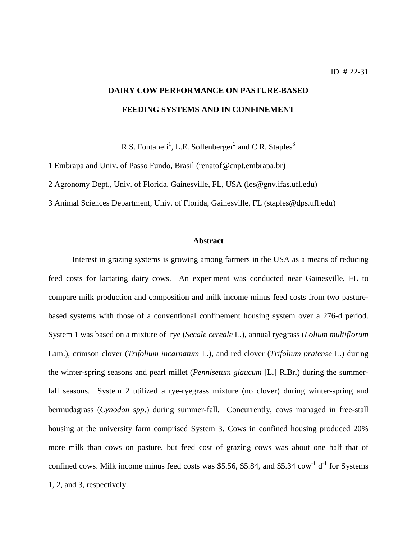## **DAIRY COW PERFORMANCE ON PASTURE-BASED FEEDING SYSTEMS AND IN CONFINEMENT**

R.S. Fontaneli<sup>1</sup>, L.E. Sollenberger<sup>2</sup> and C.R. Staples<sup>3</sup>

1 Embrapa and Univ. of Passo Fundo, Brasil (renatof@cnpt.embrapa.br)

2 Agronomy Dept., Univ. of Florida, Gainesville, FL, USA (les@gnv.ifas.ufl.edu)

3 Animal Sciences Department, Univ. of Florida, Gainesville, FL (staples@dps.ufl.edu)

#### **Abstract**

Interest in grazing systems is growing among farmers in the USA as a means of reducing feed costs for lactating dairy cows. An experiment was conducted near Gainesville, FL to compare milk production and composition and milk income minus feed costs from two pasturebased systems with those of a conventional confinement housing system over a 276-d period. System 1 was based on a mixture of rye (*Secale cereale* L.), annual ryegrass (*Lolium multiflorum* Lam.), crimson clover (*Trifolium incarnatum* L.), and red clover (*Trifolium pratense* L.) during the winter-spring seasons and pearl millet (*Pennisetum glaucum* [L.] R.Br.) during the summerfall seasons. System 2 utilized a rye-ryegrass mixture (no clover) during winter-spring and bermudagrass (*Cynodon spp*.) during summer-fall. Concurrently, cows managed in free-stall housing at the university farm comprised System 3. Cows in confined housing produced 20% more milk than cows on pasture, but feed cost of grazing cows was about one half that of confined cows. Milk income minus feed costs was \$5.56, \$5.84, and \$5.34  $\text{row}^1$  d<sup>-1</sup> for Systems 1, 2, and 3, respectively.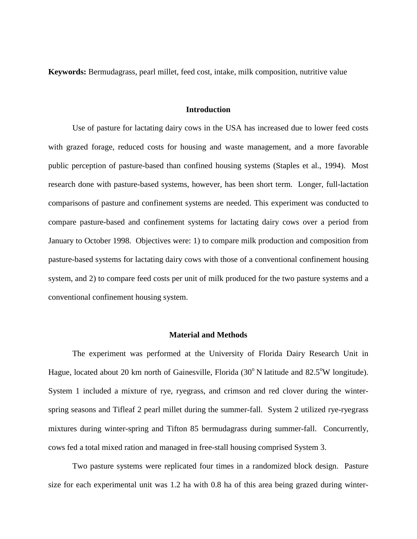**Keywords:** Bermudagrass, pearl millet, feed cost, intake, milk composition, nutritive value

#### **Introduction**

Use of pasture for lactating dairy cows in the USA has increased due to lower feed costs with grazed forage, reduced costs for housing and waste management, and a more favorable public perception of pasture-based than confined housing systems (Staples et al., 1994). Most research done with pasture-based systems, however, has been short term. Longer, full-lactation comparisons of pasture and confinement systems are needed. This experiment was conducted to compare pasture-based and confinement systems for lactating dairy cows over a period from January to October 1998. Objectives were: 1) to compare milk production and composition from pasture-based systems for lactating dairy cows with those of a conventional confinement housing system, and 2) to compare feed costs per unit of milk produced for the two pasture systems and a conventional confinement housing system.

#### **Material and Methods**

The experiment was performed at the University of Florida Dairy Research Unit in Hague, located about 20 km north of Gainesville, Florida (30°N latitude and 82.5°W longitude). System 1 included a mixture of rye, ryegrass, and crimson and red clover during the winterspring seasons and Tifleaf 2 pearl millet during the summer-fall. System 2 utilized rye-ryegrass mixtures during winter-spring and Tifton 85 bermudagrass during summer-fall. Concurrently, cows fed a total mixed ration and managed in free-stall housing comprised System 3.

Two pasture systems were replicated four times in a randomized block design. Pasture size for each experimental unit was 1.2 ha with 0.8 ha of this area being grazed during winter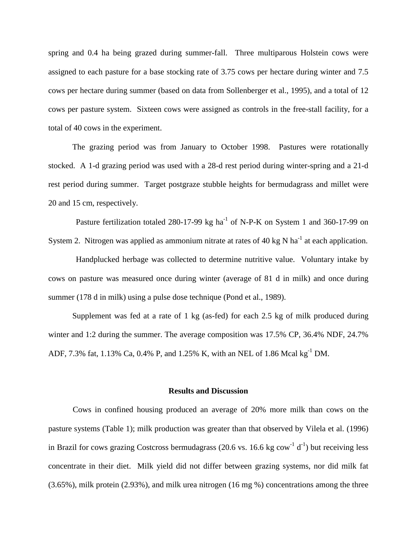spring and 0.4 ha being grazed during summer-fall. Three multiparous Holstein cows were assigned to each pasture for a base stocking rate of 3.75 cows per hectare during winter and 7.5 cows per hectare during summer (based on data from Sollenberger et al., 1995), and a total of 12 cows per pasture system. Sixteen cows were assigned as controls in the free-stall facility, for a total of 40 cows in the experiment.

The grazing period was from January to October 1998. Pastures were rotationally stocked. A 1-d grazing period was used with a 28-d rest period during winter-spring and a 21-d rest period during summer. Target postgraze stubble heights for bermudagrass and millet were 20 and 15 cm, respectively.

Pasture fertilization totaled 280-17-99 kg ha<sup>-1</sup> of N-P-K on System 1 and 360-17-99 on System 2. Nitrogen was applied as ammonium nitrate at rates of 40 kg N ha<sup>-1</sup> at each application.

Handplucked herbage was collected to determine nutritive value. Voluntary intake by cows on pasture was measured once during winter (average of 81 d in milk) and once during summer (178 d in milk) using a pulse dose technique (Pond et al., 1989).

Supplement was fed at a rate of 1 kg (as-fed) for each 2.5 kg of milk produced during winter and 1:2 during the summer. The average composition was 17.5% CP, 36.4% NDF, 24.7% ADF, 7.3% fat, 1.13% Ca, 0.4% P, and 1.25% K, with an NEL of 1.86 Mcal kg-1 DM.

#### **Results and Discussion**

Cows in confined housing produced an average of 20% more milk than cows on the pasture systems (Table 1); milk production was greater than that observed by Vilela et al. (1996) in Brazil for cows grazing Costcross bermudagrass (20.6 vs. 16.6 kg cow<sup>-1</sup> d<sup>-1</sup>) but receiving less concentrate in their diet. Milk yield did not differ between grazing systems, nor did milk fat (3.65%), milk protein (2.93%), and milk urea nitrogen (16 mg %) concentrations among the three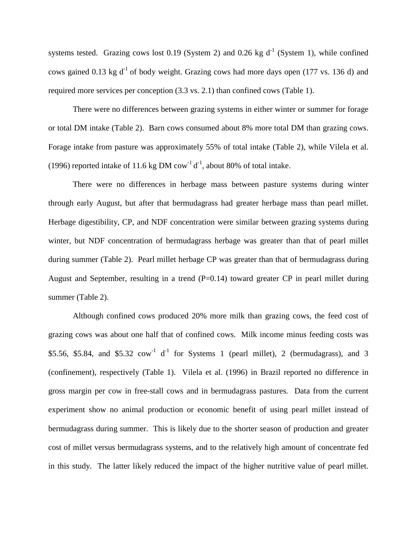systems tested. Grazing cows lost 0.19 (System 2) and 0.26 kg  $d^{-1}$  (System 1), while confined cows gained 0.13 kg  $d^{-1}$  of body weight. Grazing cows had more days open (177 vs. 136 d) and required more services per conception (3.3 vs. 2.1) than confined cows (Table 1).

There were no differences between grazing systems in either winter or summer for forage or total DM intake (Table 2). Barn cows consumed about 8% more total DM than grazing cows. Forage intake from pasture was approximately 55% of total intake (Table 2), while Vilela et al. (1996) reported intake of 11.6 kg DM cow<sup>-1</sup> d<sup>-1</sup>, about 80% of total intake.

There were no differences in herbage mass between pasture systems during winter through early August, but after that bermudagrass had greater herbage mass than pearl millet. Herbage digestibility, CP, and NDF concentration were similar between grazing systems during winter, but NDF concentration of bermudagrass herbage was greater than that of pearl millet during summer (Table 2). Pearl millet herbage CP was greater than that of bermudagrass during August and September, resulting in a trend  $(P=0.14)$  toward greater CP in pearl millet during summer (Table 2).

Although confined cows produced 20% more milk than grazing cows, the feed cost of grazing cows was about one half that of confined cows. Milk income minus feeding costs was \$5.56, \$5.84, and \$5.32  $\text{row}^{-1}$  d<sup>-1</sup> for Systems 1 (pearl millet), 2 (bermudagrass), and 3 (confinement), respectively (Table 1). Vilela et al. (1996) in Brazil reported no difference in gross margin per cow in free-stall cows and in bermudagrass pastures. Data from the current experiment show no animal production or economic benefit of using pearl millet instead of bermudagrass during summer. This is likely due to the shorter season of production and greater cost of millet versus bermudagrass systems, and to the relatively high amount of concentrate fed in this study. The latter likely reduced the impact of the higher nutritive value of pearl millet.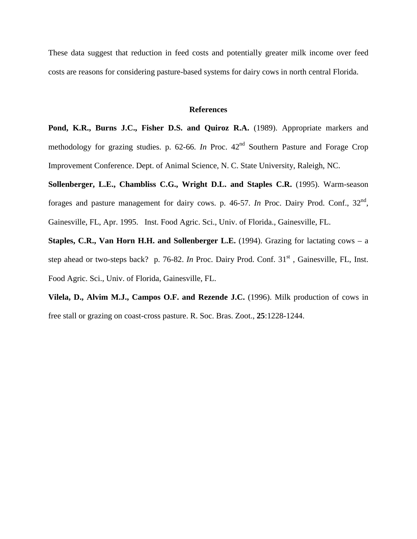These data suggest that reduction in feed costs and potentially greater milk income over feed costs are reasons for considering pasture-based systems for dairy cows in north central Florida.

#### **References**

**Pond, K.R., Burns J.C., Fisher D.S. and Quiroz R.A.** (1989). Appropriate markers and methodology for grazing studies. p.  $62-66$ . *In* Proc.  $42<sup>nd</sup>$  Southern Pasture and Forage Crop Improvement Conference. Dept. of Animal Science, N. C. State University, Raleigh, NC.

**Sollenberger, L.E., Chambliss C.G., Wright D.L. and Staples C.R.** (1995). Warm-season forages and pasture management for dairy cows. p. 46-57. *In* Proc. Dairy Prod. Conf.,  $32<sup>nd</sup>$ , Gainesville, FL, Apr. 1995. Inst. Food Agric. Sci., Univ. of Florida., Gainesville, FL.

**Staples, C.R., Van Horn H.H. and Sollenberger L.E.** (1994). Grazing for lactating cows – a step ahead or two-steps back? p. 76-82. *In* Proc. Dairy Prod. Conf. 31<sup>st</sup>, Gainesville, FL, Inst. Food Agric. Sci., Univ. of Florida, Gainesville, FL.

**Vilela, D., Alvim M.J., Campos O.F. and Rezende J.C.** (1996). Milk production of cows in free stall or grazing on coast-cross pasture. R. Soc. Bras. Zoot., **25**:1228-1244.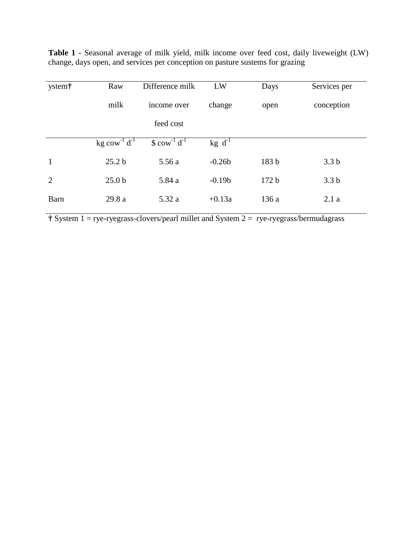| ystem†         | Raw                          | Difference milk                     | LW             | Days  | Services per     |
|----------------|------------------------------|-------------------------------------|----------------|-------|------------------|
|                | milk                         | income over                         | change         | open  | conception       |
|                |                              | feed cost                           |                |       |                  |
|                | $kg \text{ cow}^{-1} d^{-1}$ | $\text{\$ cow}^{-1} \text{ d}^{-1}$ | $kg \, d^{-1}$ |       |                  |
| 1              | 25.2 <sub>b</sub>            | 5.56 a                              | $-0.26b$       | 183 b | 3.3 <sub>b</sub> |
| $\overline{2}$ | 25.0 <sub>b</sub>            | 5.84 a                              | $-0.19b$       | 172 b | 3.3 <sub>b</sub> |
| <b>Barn</b>    | 29.8 a                       | 5.32 a                              | $+0.13a$       | 136a  | 2.1a             |

**Table 1 -** Seasonal average of milk yield, milk income over feed cost, daily liveweight (LW) change, days open, and services per conception on pasture sustems for grazing

**†** System 1 = rye-ryegrass-clovers/pearl millet and System 2 = rye-ryegrass/bermudagrass